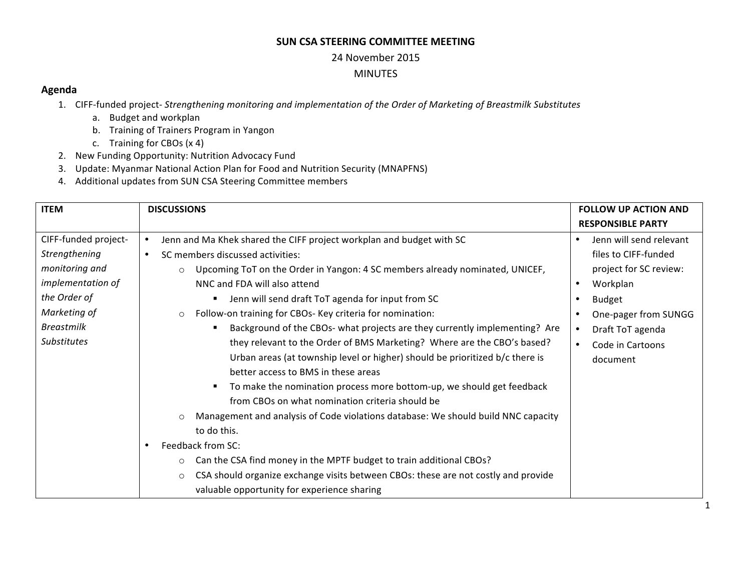### **SUN CSA STEERING COMMITTEE MEETING**

#### 24 November 2015

### MINUTES

## **Agenda**

- 1. CIFF-funded project- *Strengthening monitoring and implementation of the Order of Marketing of Breastmilk Substitutes* 
	- a. Budget and workplan
	- b. Training of Trainers Program in Yangon
	- c. Training for CBOs  $(x 4)$
- 2. New Funding Opportunity: Nutrition Advocacy Fund
- 3. Update: Myanmar National Action Plan for Food and Nutrition Security (MNAPFNS)
- 4. Additional updates from SUN CSA Steering Committee members

| <b>ITEM</b>          | <b>DISCUSSIONS</b>                                                                            | <b>FOLLOW UP ACTION AND</b> |
|----------------------|-----------------------------------------------------------------------------------------------|-----------------------------|
|                      |                                                                                               | <b>RESPONSIBLE PARTY</b>    |
| CIFF-funded project- | Jenn and Ma Khek shared the CIFF project workplan and budget with SC<br>$\bullet$             | Jenn will send relevant     |
| Strengthening        | SC members discussed activities:<br>$\bullet$                                                 | files to CIFF-funded        |
| monitoring and       | Upcoming ToT on the Order in Yangon: 4 SC members already nominated, UNICEF,<br>$\circ$       | project for SC review:      |
| implementation of    | NNC and FDA will also attend                                                                  | Workplan<br>$\bullet$       |
| the Order of         | Jenn will send draft ToT agenda for input from SC<br>٠                                        | <b>Budget</b>               |
| Marketing of         | Follow-on training for CBOs- Key criteria for nomination:<br>$\circ$                          | One-pager from SUNGG        |
| <b>Breastmilk</b>    | Background of the CBOs- what projects are they currently implementing? Are                    | Draft ToT agenda            |
| <b>Substitutes</b>   | they relevant to the Order of BMS Marketing? Where are the CBO's based?                       | Code in Cartoons            |
|                      | Urban areas (at township level or higher) should be prioritized b/c there is                  | document                    |
|                      | better access to BMS in these areas                                                           |                             |
|                      | To make the nomination process more bottom-up, we should get feedback                         |                             |
|                      | from CBOs on what nomination criteria should be                                               |                             |
|                      | Management and analysis of Code violations database: We should build NNC capacity<br>$\circ$  |                             |
|                      | to do this.                                                                                   |                             |
|                      | Feedback from SC:<br>$\bullet$                                                                |                             |
|                      | Can the CSA find money in the MPTF budget to train additional CBOs?<br>$\circ$                |                             |
|                      | CSA should organize exchange visits between CBOs: these are not costly and provide<br>$\circ$ |                             |
|                      | valuable opportunity for experience sharing                                                   |                             |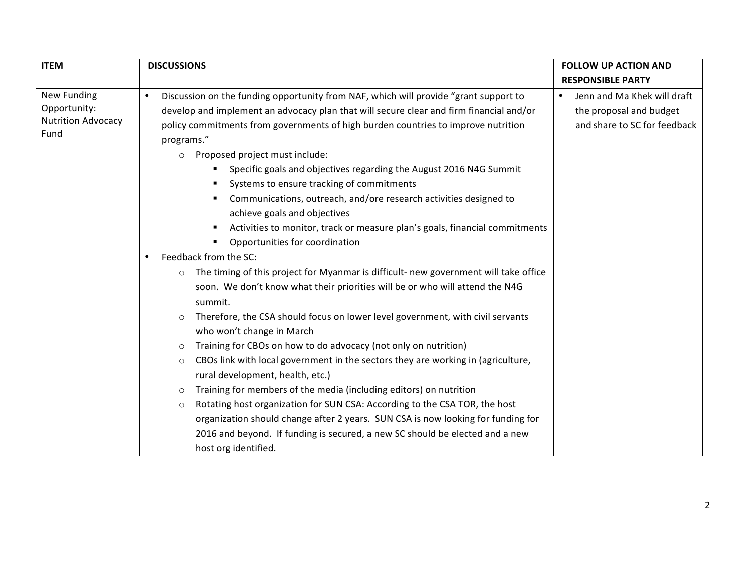| <b>ITEM</b>                                                      | <b>DISCUSSIONS</b>                                                                                                                                                                                                                                                                                                                                                                                                                                                                                                                                                                                                                                                                                                                                                                                                                                                                                                                                                                                                                                                                                                                                                                                                                                                                                                                                                                                                                                                                                           | <b>FOLLOW UP ACTION AND</b>                                                            |
|------------------------------------------------------------------|--------------------------------------------------------------------------------------------------------------------------------------------------------------------------------------------------------------------------------------------------------------------------------------------------------------------------------------------------------------------------------------------------------------------------------------------------------------------------------------------------------------------------------------------------------------------------------------------------------------------------------------------------------------------------------------------------------------------------------------------------------------------------------------------------------------------------------------------------------------------------------------------------------------------------------------------------------------------------------------------------------------------------------------------------------------------------------------------------------------------------------------------------------------------------------------------------------------------------------------------------------------------------------------------------------------------------------------------------------------------------------------------------------------------------------------------------------------------------------------------------------------|----------------------------------------------------------------------------------------|
|                                                                  |                                                                                                                                                                                                                                                                                                                                                                                                                                                                                                                                                                                                                                                                                                                                                                                                                                                                                                                                                                                                                                                                                                                                                                                                                                                                                                                                                                                                                                                                                                              | <b>RESPONSIBLE PARTY</b>                                                               |
| New Funding<br>Opportunity:<br><b>Nutrition Advocacy</b><br>Fund | Discussion on the funding opportunity from NAF, which will provide "grant support to<br>$\bullet$<br>develop and implement an advocacy plan that will secure clear and firm financial and/or<br>policy commitments from governments of high burden countries to improve nutrition<br>programs."<br>Proposed project must include:<br>$\circ$<br>Specific goals and objectives regarding the August 2016 N4G Summit<br>Systems to ensure tracking of commitments<br>Communications, outreach, and/ore research activities designed to<br>achieve goals and objectives<br>Activities to monitor, track or measure plan's goals, financial commitments<br>Opportunities for coordination<br>Feedback from the SC:<br>$\bullet$<br>The timing of this project for Myanmar is difficult- new government will take office<br>soon. We don't know what their priorities will be or who will attend the N4G<br>summit.<br>Therefore, the CSA should focus on lower level government, with civil servants<br>who won't change in March<br>Training for CBOs on how to do advocacy (not only on nutrition)<br>$\circ$<br>CBOs link with local government in the sectors they are working in (agriculture,<br>$\circ$<br>rural development, health, etc.)<br>Training for members of the media (including editors) on nutrition<br>$\circ$<br>Rotating host organization for SUN CSA: According to the CSA TOR, the host<br>$\circ$<br>organization should change after 2 years. SUN CSA is now looking for funding for | Jenn and Ma Khek will draft<br>the proposal and budget<br>and share to SC for feedback |
|                                                                  | 2016 and beyond. If funding is secured, a new SC should be elected and a new<br>host org identified.                                                                                                                                                                                                                                                                                                                                                                                                                                                                                                                                                                                                                                                                                                                                                                                                                                                                                                                                                                                                                                                                                                                                                                                                                                                                                                                                                                                                         |                                                                                        |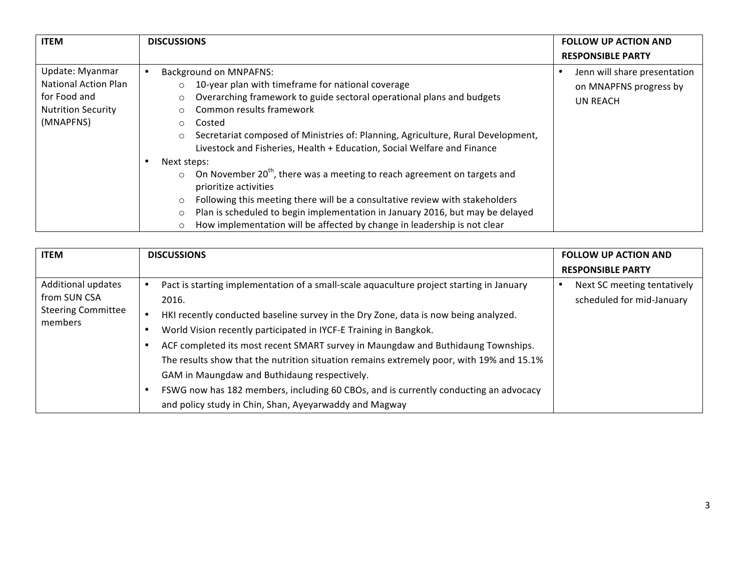| <b>ITEM</b>                                                                                              | <b>DISCUSSIONS</b>                                                                                                                                                                                                                                                                                                                                                                                                                                                                                                                                                                                                                                                                                                                                                                                                                            | <b>FOLLOW UP ACTION AND</b>                                               |
|----------------------------------------------------------------------------------------------------------|-----------------------------------------------------------------------------------------------------------------------------------------------------------------------------------------------------------------------------------------------------------------------------------------------------------------------------------------------------------------------------------------------------------------------------------------------------------------------------------------------------------------------------------------------------------------------------------------------------------------------------------------------------------------------------------------------------------------------------------------------------------------------------------------------------------------------------------------------|---------------------------------------------------------------------------|
|                                                                                                          |                                                                                                                                                                                                                                                                                                                                                                                                                                                                                                                                                                                                                                                                                                                                                                                                                                               | <b>RESPONSIBLE PARTY</b>                                                  |
| Update: Myanmar<br><b>National Action Plan</b><br>for Food and<br><b>Nutrition Security</b><br>(MNAPFNS) | <b>Background on MNPAFNS:</b><br>$\bullet$<br>10-year plan with timeframe for national coverage<br>$\circ$<br>Overarching framework to guide sectoral operational plans and budgets<br>O<br>Common results framework<br>Costed<br>$\circ$<br>Secretariat composed of Ministries of: Planning, Agriculture, Rural Development,<br>$\circ$<br>Livestock and Fisheries, Health + Education, Social Welfare and Finance<br>Next steps:<br>$\bullet$<br>On November 20 <sup>th</sup> , there was a meeting to reach agreement on targets and<br>$\circ$<br>prioritize activities<br>Following this meeting there will be a consultative review with stakeholders<br>$\circ$<br>Plan is scheduled to begin implementation in January 2016, but may be delayed<br>O<br>How implementation will be affected by change in leadership is not clear<br>O | Jenn will share presentation<br>on MNAPFNS progress by<br><b>UN REACH</b> |

| <b>ITEM</b>                                                                | <b>DISCUSSIONS</b>                                                                                                                                                                                                                                                                                                                                                                                                                                                                                                                                                                                                                                           | <b>FOLLOW UP ACTION AND</b><br><b>RESPONSIBLE PARTY</b>  |
|----------------------------------------------------------------------------|--------------------------------------------------------------------------------------------------------------------------------------------------------------------------------------------------------------------------------------------------------------------------------------------------------------------------------------------------------------------------------------------------------------------------------------------------------------------------------------------------------------------------------------------------------------------------------------------------------------------------------------------------------------|----------------------------------------------------------|
| Additional updates<br>from SUN CSA<br><b>Steering Committee</b><br>members | Pact is starting implementation of a small-scale aquaculture project starting in January<br>2016.<br>HKI recently conducted baseline survey in the Dry Zone, data is now being analyzed.<br>$\bullet$<br>World Vision recently participated in IYCF-E Training in Bangkok.<br>ACF completed its most recent SMART survey in Maungdaw and Buthidaung Townships.<br>The results show that the nutrition situation remains extremely poor, with 19% and 15.1%<br>GAM in Maungdaw and Buthidaung respectively.<br>FSWG now has 182 members, including 60 CBOs, and is currently conducting an advocacy<br>and policy study in Chin, Shan, Ayeyarwaddy and Magway | Next SC meeting tentatively<br>scheduled for mid-January |